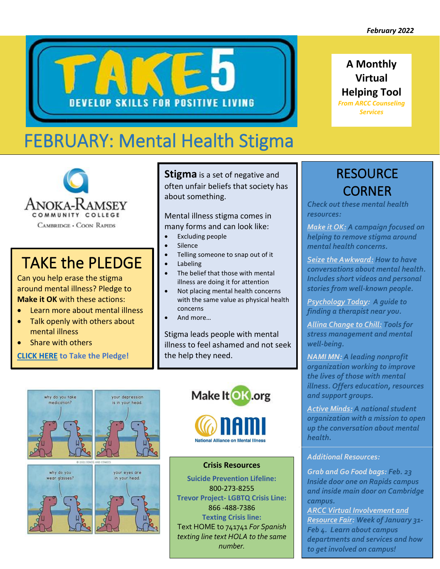**A Monthly Virtual Helping Tool** *From ARCC Counseling Services* 



# FEBRUARY: Mental Health Stigma



# TAKE the PLEDGE

Can you help erase the stigma around mental illness? Pledge to **Make it OK** with these actions:

- Learn more about mental illness
- Talk openly with others about mental illness
- Share with others

**[CLICK HERE](https://makeitok.org/take-the-pledge/) to Take the Pledge!** 

**Stigma** is a set of negative and often unfair beliefs that society has about something.

Mental illness stigma comes in many forms and can look like:

- Excluding people
- Silence
- Telling someone to snap out of it
- **Labeling**
- The belief that those with mental illness are doing it for attention
- Not placing mental health concerns with the same value as physical health concerns
- And more…

Stigma leads people with mental illness to feel ashamed and not seek the help they need.

Make It OK.org







your eyes are

in your head.



#### **Crisis Resources**

**Suicide Prevention Lifeline:** 800-273-8255 **Trevor Project- LGBTQ Crisis Line:** 866 -488-7386 **Texting Crisis line:** Text HOME to 741741 *For Spanish texting line text HOLA to the same number.* 

# **RESOURCE** CORNER

*Check out these mental health resources:*

*[Make it OK:](https://makeitok.org/) A campaign focused on helping to remove stigma around mental health concerns.* 

*[Seize the Awkward:](https://seizetheawkward.org/) How to have conversations about mental health. Includes short videos and personal stories from well-known people.* 

*[Psychology Today:](https://www.psychologytoday.com/us) A guide to finding a therapist near you.*

*[Allina Change to Chill:](https://www.changetochill.org/) Tools for stress management and mental well-being.*

*[NAMI MN:](https://namimn.org/) A leading nonprofit organization working to improve the lives of those with mental illness. Offers education, resources and support groups.* 

*[Active Minds:](https://www.activeminds.org/) A national student organization with a mission to open up the conversation about mental health.*

#### *Additional Resources:*

*Grab and Go Food bags: Feb. 23 Inside door one on Rapids campus and inside main door on Cambridge campus.* 

*[ARCC Virtual Involvement and](https://flipgrid.com/303af962)  [Resource Fair:](https://flipgrid.com/303af962) Week of January 31- Feb 4. Learn about campus departments and services and how to get involved on campus!*